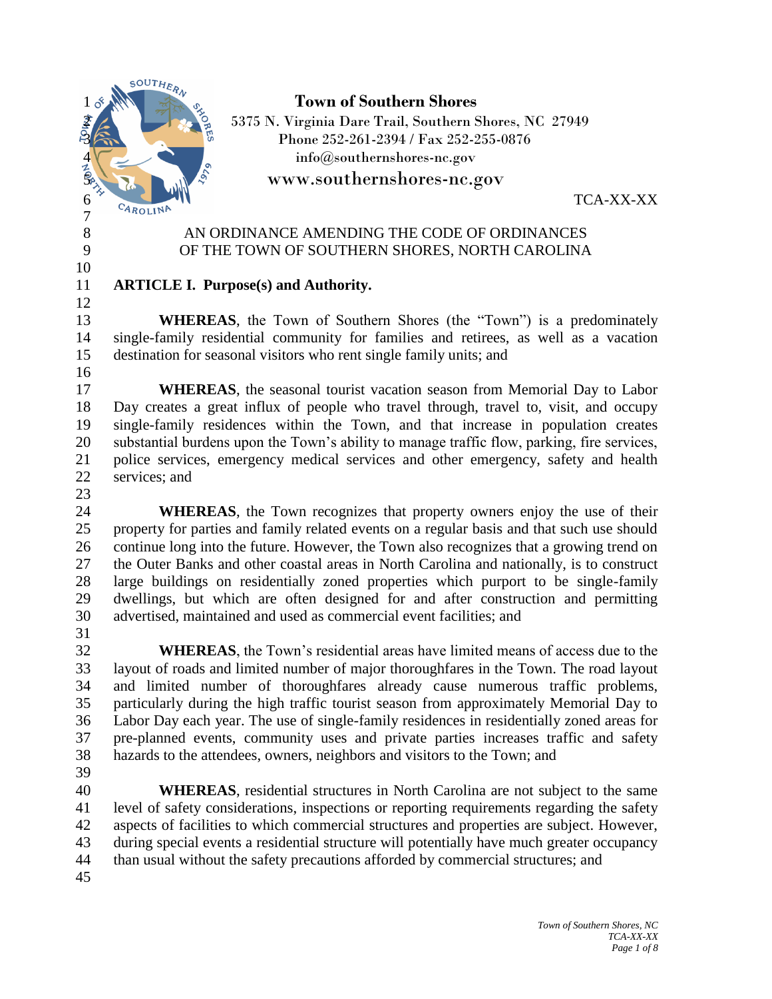

# <sup>50UTHER</sup><sup>N</sup> **CONSIDERATION Town** of Southern Shores

 5375 N. Virginia Dare Trail, Southern Shores, NC 27949 Phone 252-261-2394 / Fax 252-255-0876<br>  $\frac{4}{5}$ <br>  $\frac{1}{5}$ <br>  $\frac{1}{5}$ <br>  $\frac{1}{5}$ <br>  $\frac{1}{5}$ <br>  $\frac{1}{5}$ info@southernshores-nc.gov

www.southernshores-nc.gov

6 CAROLINA TCA-XX-XX

#### 8 AN ORDINANCE AMENDING THE CODE OF ORDINANCES OF THE TOWN OF SOUTHERN SHORES, NORTH CAROLINA

#### **ARTICLE I. Purpose(s) and Authority.**

 **WHEREAS**, the Town of Southern Shores (the "Town") is a predominately single-family residential community for families and retirees, as well as a vacation destination for seasonal visitors who rent single family units; and

 **WHEREAS**, the seasonal tourist vacation season from Memorial Day to Labor Day creates a great influx of people who travel through, travel to, visit, and occupy single-family residences within the Town, and that increase in population creates substantial burdens upon the Town's ability to manage traffic flow, parking, fire services, police services, emergency medical services and other emergency, safety and health services; and 

 **WHEREAS**, the Town recognizes that property owners enjoy the use of their property for parties and family related events on a regular basis and that such use should continue long into the future. However, the Town also recognizes that a growing trend on the Outer Banks and other coastal areas in North Carolina and nationally, is to construct large buildings on residentially zoned properties which purport to be single-family dwellings, but which are often designed for and after construction and permitting advertised, maintained and used as commercial event facilities; and 

 **WHEREAS**, the Town's residential areas have limited means of access due to the layout of roads and limited number of major thoroughfares in the Town. The road layout and limited number of thoroughfares already cause numerous traffic problems, particularly during the high traffic tourist season from approximately Memorial Day to Labor Day each year. The use of single-family residences in residentially zoned areas for pre-planned events, community uses and private parties increases traffic and safety hazards to the attendees, owners, neighbors and visitors to the Town; and

 **WHEREAS**, residential structures in North Carolina are not subject to the same level of safety considerations, inspections or reporting requirements regarding the safety aspects of facilities to which commercial structures and properties are subject. However, during special events a residential structure will potentially have much greater occupancy than usual without the safety precautions afforded by commercial structures; and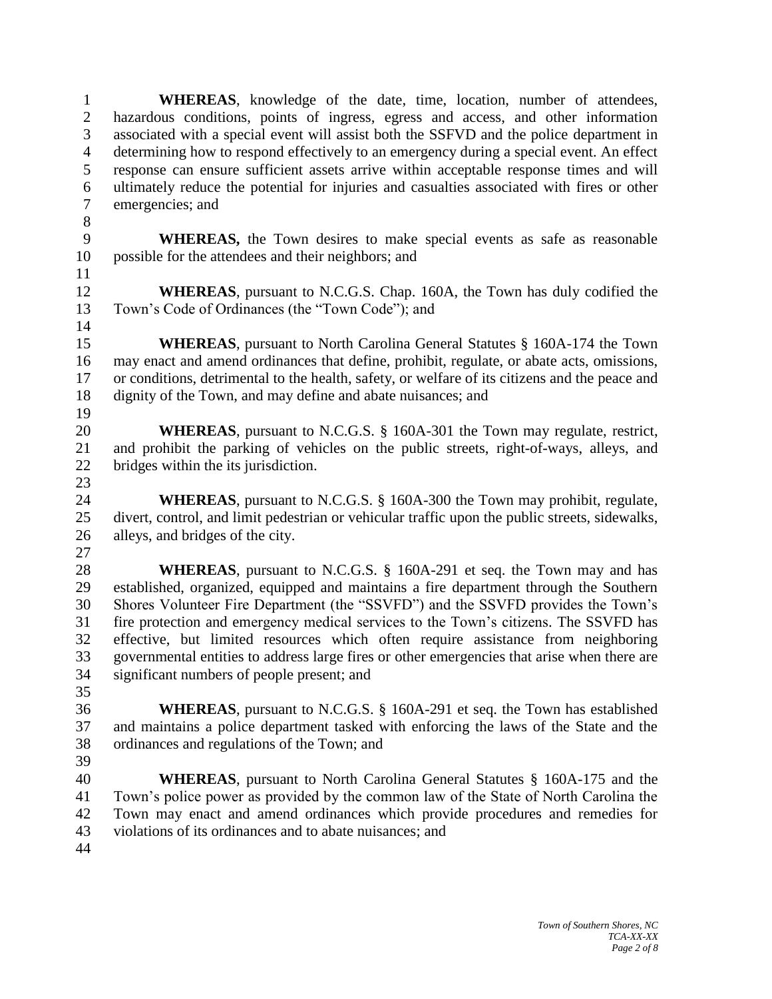**WHEREAS**, knowledge of the date, time, location, number of attendees, hazardous conditions, points of ingress, egress and access, and other information associated with a special event will assist both the SSFVD and the police department in determining how to respond effectively to an emergency during a special event. An effect response can ensure sufficient assets arrive within acceptable response times and will ultimately reduce the potential for injuries and casualties associated with fires or other emergencies; and

- 
- 

 **WHEREAS,** the Town desires to make special events as safe as reasonable possible for the attendees and their neighbors; and

 **WHEREAS**, pursuant to N.C.G.S. Chap. 160A, the Town has duly codified the Town's Code of Ordinances (the "Town Code"); and 

 **WHEREAS**, pursuant to North Carolina General Statutes § 160A-174 the Town may enact and amend ordinances that define, prohibit, regulate, or abate acts, omissions, or conditions, detrimental to the health, safety, or welfare of its citizens and the peace and dignity of the Town, and may define and abate nuisances; and

 **WHEREAS**, pursuant to N.C.G.S. § 160A-301 the Town may regulate, restrict, and prohibit the parking of vehicles on the public streets, right-of-ways, alleys, and bridges within the its jurisdiction.

 **WHEREAS**, pursuant to N.C.G.S. § 160A-300 the Town may prohibit, regulate, divert, control, and limit pedestrian or vehicular traffic upon the public streets, sidewalks, alleys, and bridges of the city.

 **WHEREAS**, pursuant to N.C.G.S. § 160A-291 et seq. the Town may and has established, organized, equipped and maintains a fire department through the Southern Shores Volunteer Fire Department (the "SSVFD") and the SSVFD provides the Town's 31 fire protection and emergency medical services to the Town's citizens. The SSVFD has effective, but limited resources which often require assistance from neighboring effective, but limited resources which often require assistance from neighboring governmental entities to address large fires or other emergencies that arise when there are significant numbers of people present; and

 **WHEREAS**, pursuant to N.C.G.S. § 160A-291 et seq. the Town has established and maintains a police department tasked with enforcing the laws of the State and the ordinances and regulations of the Town; and 

 **WHEREAS**, pursuant to North Carolina General Statutes § 160A-175 and the Town's police power as provided by the common law of the State of North Carolina the Town may enact and amend ordinances which provide procedures and remedies for violations of its ordinances and to abate nuisances; and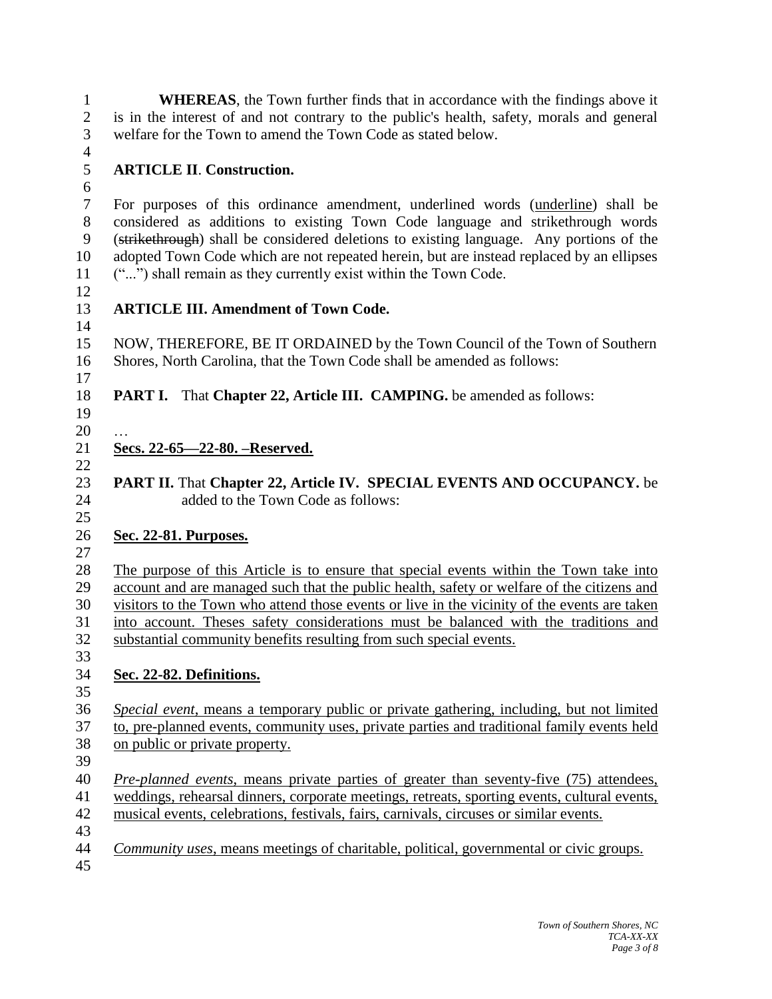| $\mathbf{1}$   | <b>WHEREAS</b> , the Town further finds that in accordance with the findings above it                                                                                                |
|----------------|--------------------------------------------------------------------------------------------------------------------------------------------------------------------------------------|
| $\overline{2}$ | is in the interest of and not contrary to the public's health, safety, morals and general                                                                                            |
| 3              | welfare for the Town to amend the Town Code as stated below.                                                                                                                         |
| $\overline{4}$ |                                                                                                                                                                                      |
| 5              | <b>ARTICLE II. Construction.</b>                                                                                                                                                     |
| 6              |                                                                                                                                                                                      |
| $\tau$         | For purposes of this ordinance amendment, underlined words (underline) shall be                                                                                                      |
| $8\,$          | considered as additions to existing Town Code language and strikethrough words                                                                                                       |
| 9              | (strikethrough) shall be considered deletions to existing language. Any portions of the                                                                                              |
| 10<br>11       | adopted Town Code which are not repeated herein, but are instead replaced by an ellipses<br>("") shall remain as they currently exist within the Town Code.                          |
| 12             |                                                                                                                                                                                      |
| 13             | <b>ARTICLE III. Amendment of Town Code.</b>                                                                                                                                          |
| 14             |                                                                                                                                                                                      |
| 15             | NOW, THEREFORE, BE IT ORDAINED by the Town Council of the Town of Southern                                                                                                           |
| 16             | Shores, North Carolina, that the Town Code shall be amended as follows:                                                                                                              |
| 17             |                                                                                                                                                                                      |
| 18             | <b>PART I.</b> That Chapter 22, Article III. CAMPING. be amended as follows:                                                                                                         |
| 19             |                                                                                                                                                                                      |
| 20             |                                                                                                                                                                                      |
| 21             | Secs. 22-65-22-80. - Reserved.                                                                                                                                                       |
| 22             |                                                                                                                                                                                      |
| 23             | <b>PART II.</b> That Chapter 22, Article IV. SPECIAL EVENTS AND OCCUPANCY. be                                                                                                        |
| 24             | added to the Town Code as follows:                                                                                                                                                   |
| 25             |                                                                                                                                                                                      |
| 26             | Sec. 22-81. Purposes.                                                                                                                                                                |
| 27<br>28       |                                                                                                                                                                                      |
| 29             | The purpose of this Article is to ensure that special events within the Town take into<br>account and are managed such that the public health, safety or welfare of the citizens and |
| 30             | visitors to the Town who attend those events or live in the vicinity of the events are taken                                                                                         |
| 31             | into account. Theses safety considerations must be balanced with the traditions and                                                                                                  |
| 32             | substantial community benefits resulting from such special events.                                                                                                                   |
| 33             |                                                                                                                                                                                      |
| 34             | Sec. 22-82. Definitions.                                                                                                                                                             |
| 35             |                                                                                                                                                                                      |
| 36             | <i>Special event</i> , means a temporary public or private gathering, including, but not limited                                                                                     |
| 37             | to, pre-planned events, community uses, private parties and traditional family events held                                                                                           |
| 38             | on public or private property.                                                                                                                                                       |
| 39             |                                                                                                                                                                                      |
| 40             | <i>Pre-planned events</i> , means private parties of greater than seventy-five (75) attendees,                                                                                       |
| 41             | weddings, rehearsal dinners, corporate meetings, retreats, sporting events, cultural events,                                                                                         |
| 42             | musical events, celebrations, festivals, fairs, carnivals, circuses or similar events.                                                                                               |
| 43             |                                                                                                                                                                                      |
| 44             | <i>Community uses</i> , means meetings of charitable, political, governmental or civic groups.                                                                                       |
| 45             |                                                                                                                                                                                      |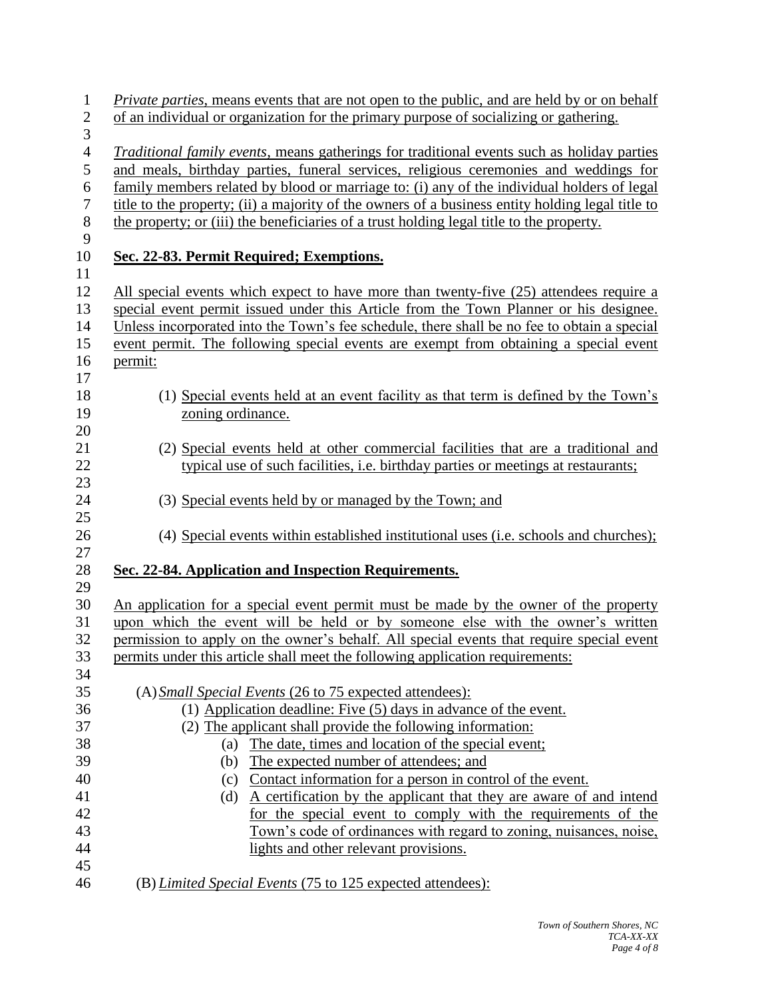| $\mathbf{1}$<br>$\overline{c}$ | <i>Private parties</i> , means events that are not open to the public, and are held by or on behalf<br>of an individual or organization for the primary purpose of socializing or gathering. |  |  |  |  |  |
|--------------------------------|----------------------------------------------------------------------------------------------------------------------------------------------------------------------------------------------|--|--|--|--|--|
| $\overline{3}$                 |                                                                                                                                                                                              |  |  |  |  |  |
| $\overline{4}$<br>5            | Traditional family events, means gatherings for traditional events such as holiday parties<br>and meals, birthday parties, funeral services, religious ceremonies and weddings for           |  |  |  |  |  |
| 6                              | family members related by blood or marriage to: (i) any of the individual holders of legal                                                                                                   |  |  |  |  |  |
| $\boldsymbol{7}$               | title to the property; (ii) a majority of the owners of a business entity holding legal title to                                                                                             |  |  |  |  |  |
| $\,8\,$                        | the property; or (iii) the beneficiaries of a trust holding legal title to the property.                                                                                                     |  |  |  |  |  |
| 9                              |                                                                                                                                                                                              |  |  |  |  |  |
| 10                             | Sec. 22-83. Permit Required; Exemptions.                                                                                                                                                     |  |  |  |  |  |
| 11<br>12                       |                                                                                                                                                                                              |  |  |  |  |  |
| 13                             | All special events which expect to have more than twenty-five (25) attendees require a<br>special event permit issued under this Article from the Town Planner or his designee.              |  |  |  |  |  |
| 14                             | Unless incorporated into the Town's fee schedule, there shall be no fee to obtain a special                                                                                                  |  |  |  |  |  |
| 15                             | event permit. The following special events are exempt from obtaining a special event                                                                                                         |  |  |  |  |  |
| 16                             | permit:                                                                                                                                                                                      |  |  |  |  |  |
| 17                             |                                                                                                                                                                                              |  |  |  |  |  |
| 18                             | (1) Special events held at an event facility as that term is defined by the Town's                                                                                                           |  |  |  |  |  |
| 19<br>20                       | zoning ordinance.                                                                                                                                                                            |  |  |  |  |  |
| 21                             | (2) Special events held at other commercial facilities that are a traditional and                                                                                                            |  |  |  |  |  |
| 22                             | typical use of such facilities, <i>i.e.</i> birthday parties or meetings at restaurants;                                                                                                     |  |  |  |  |  |
| 23                             |                                                                                                                                                                                              |  |  |  |  |  |
| 24                             | (3) Special events held by or managed by the Town; and                                                                                                                                       |  |  |  |  |  |
| 25<br>26                       | (4) Special events within established institutional uses (i.e. schools and churches);                                                                                                        |  |  |  |  |  |
| 27                             |                                                                                                                                                                                              |  |  |  |  |  |
| 28<br>29                       | Sec. 22-84. Application and Inspection Requirements.                                                                                                                                         |  |  |  |  |  |
| 30                             | An application for a special event permit must be made by the owner of the property                                                                                                          |  |  |  |  |  |
| 31                             | upon which the event will be held or by someone else with the owner's written                                                                                                                |  |  |  |  |  |
| 32                             | permission to apply on the owner's behalf. All special events that require special event                                                                                                     |  |  |  |  |  |
| 33                             | permits under this article shall meet the following application requirements:                                                                                                                |  |  |  |  |  |
| 34                             |                                                                                                                                                                                              |  |  |  |  |  |
| 35<br>36                       | (A) Small Special Events (26 to 75 expected attendees):<br>(1) Application deadline: Five (5) days in advance of the event.                                                                  |  |  |  |  |  |
| 37                             | (2) The applicant shall provide the following information:                                                                                                                                   |  |  |  |  |  |
| 38                             | The date, times and location of the special event;<br>(a)                                                                                                                                    |  |  |  |  |  |
| 39                             | The expected number of attendees; and<br>(b)                                                                                                                                                 |  |  |  |  |  |
| 40                             | Contact information for a person in control of the event.<br>(c)                                                                                                                             |  |  |  |  |  |
| 41                             | A certification by the applicant that they are aware of and intend<br>(d)                                                                                                                    |  |  |  |  |  |
| 42                             | for the special event to comply with the requirements of the                                                                                                                                 |  |  |  |  |  |
| 43                             | Town's code of ordinances with regard to zoning, nuisances, noise,                                                                                                                           |  |  |  |  |  |
| 44                             | lights and other relevant provisions.                                                                                                                                                        |  |  |  |  |  |
| 45<br>46                       | (B) <i>Limited Special Events</i> (75 to 125 expected attendees):                                                                                                                            |  |  |  |  |  |
|                                |                                                                                                                                                                                              |  |  |  |  |  |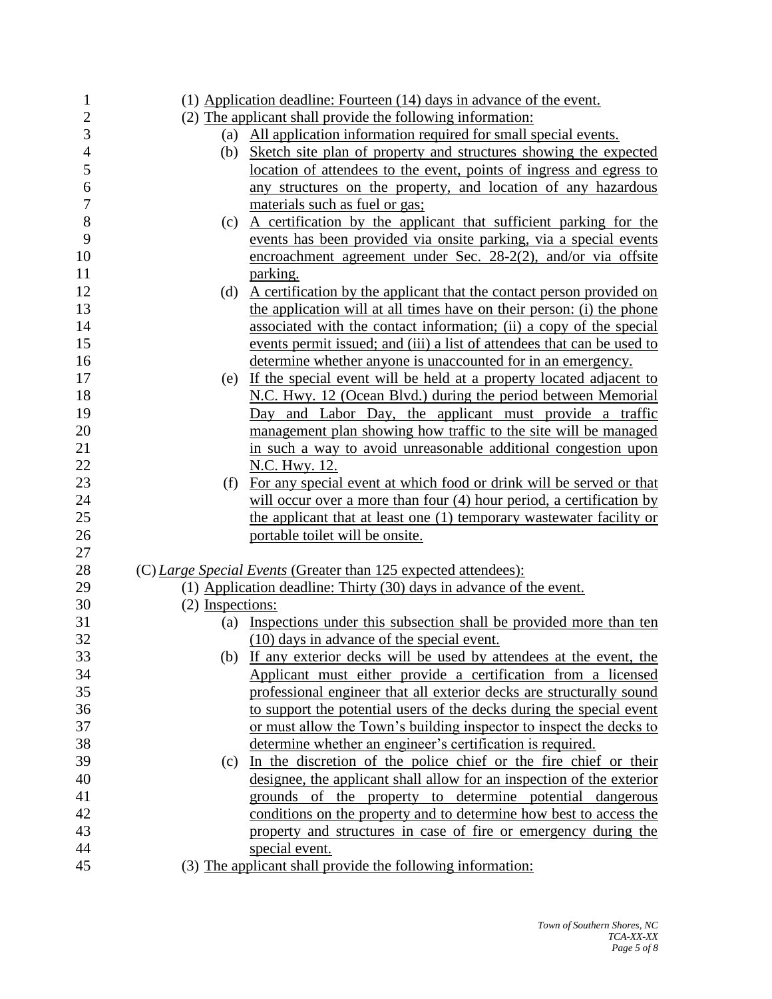| 1                |                                                            | (1) Application deadline: Fourteen (14) days in advance of the event.      |  |  |
|------------------|------------------------------------------------------------|----------------------------------------------------------------------------|--|--|
| $\overline{c}$   | (2) The applicant shall provide the following information: |                                                                            |  |  |
| 3                |                                                            | (a) All application information required for small special events.         |  |  |
| $\overline{4}$   | (b)                                                        | Sketch site plan of property and structures showing the expected           |  |  |
| 5                |                                                            | <u>location</u> of attendees to the event, points of ingress and egress to |  |  |
| 6                |                                                            | any structures on the property, and location of any hazardous              |  |  |
| $\boldsymbol{7}$ |                                                            | materials such as fuel or gas;                                             |  |  |
| 8                | (c)                                                        | A certification by the applicant that sufficient parking for the           |  |  |
| 9                |                                                            | events has been provided via onsite parking, via a special events          |  |  |
| 10               |                                                            | encroachment agreement under Sec. 28-2(2), and/or via offsite              |  |  |
| 11               |                                                            | parking.                                                                   |  |  |
| 12               | (d)                                                        | A certification by the applicant that the contact person provided on       |  |  |
| 13               |                                                            | the application will at all times have on their person: (i) the phone      |  |  |
| 14               |                                                            | associated with the contact information; (ii) a copy of the special        |  |  |
| 15               |                                                            | events permit issued; and (iii) a list of attendees that can be used to    |  |  |
| 16               |                                                            | determine whether anyone is unaccounted for in an emergency.               |  |  |
| 17               | (e)                                                        | If the special event will be held at a property located adjacent to        |  |  |
| 18               |                                                            | N.C. Hwy. 12 (Ocean Blvd.) during the period between Memorial              |  |  |
| 19               |                                                            | Day and Labor Day, the applicant must provide a traffic                    |  |  |
| 20               |                                                            | management plan showing how traffic to the site will be managed            |  |  |
| 21               |                                                            | in such a way to avoid unreasonable additional congestion upon             |  |  |
| 22               |                                                            | N.C. Hwy. 12.                                                              |  |  |
| 23               | (f)                                                        | For any special event at which food or drink will be served or that        |  |  |
| 24               |                                                            | will occur over a more than four $(4)$ hour period, a certification by     |  |  |
| 25               |                                                            | the applicant that at least one (1) temporary was tewater facility or      |  |  |
| 26               |                                                            | portable toilet will be onsite.                                            |  |  |
| 27               |                                                            |                                                                            |  |  |
| 28               |                                                            | (C) Large Special Events (Greater than 125 expected attendees):            |  |  |
| 29               |                                                            | (1) Application deadline: Thirty (30) days in advance of the event.        |  |  |
| 30               | $(2)$ Inspections:                                         |                                                                            |  |  |
| 31               | (a)                                                        | Inspections under this subsection shall be provided more than ten          |  |  |
| 32               |                                                            | (10) days in advance of the special event.                                 |  |  |
| 33               |                                                            | (b) If any exterior decks will be used by attendees at the event, the      |  |  |
| 34               |                                                            | Applicant must either provide a certification from a licensed              |  |  |
| 35               |                                                            | professional engineer that all exterior decks are structurally sound       |  |  |
| 36               |                                                            | to support the potential users of the decks during the special event       |  |  |
| 37               |                                                            | or must allow the Town's building inspector to inspect the decks to        |  |  |
| 38               |                                                            | determine whether an engineer's certification is required.                 |  |  |
| 39               | (c)                                                        | In the discretion of the police chief or the fire chief or their           |  |  |
| 40               |                                                            | designee, the applicant shall allow for an inspection of the exterior      |  |  |
| 41               |                                                            | grounds of the property to determine potential dangerous                   |  |  |
| 42               |                                                            | conditions on the property and to determine how best to access the         |  |  |
| 43               |                                                            | property and structures in case of fire or emergency during the            |  |  |
| 44               |                                                            | special event.                                                             |  |  |
| 45               |                                                            | (3) The applicant shall provide the following information:                 |  |  |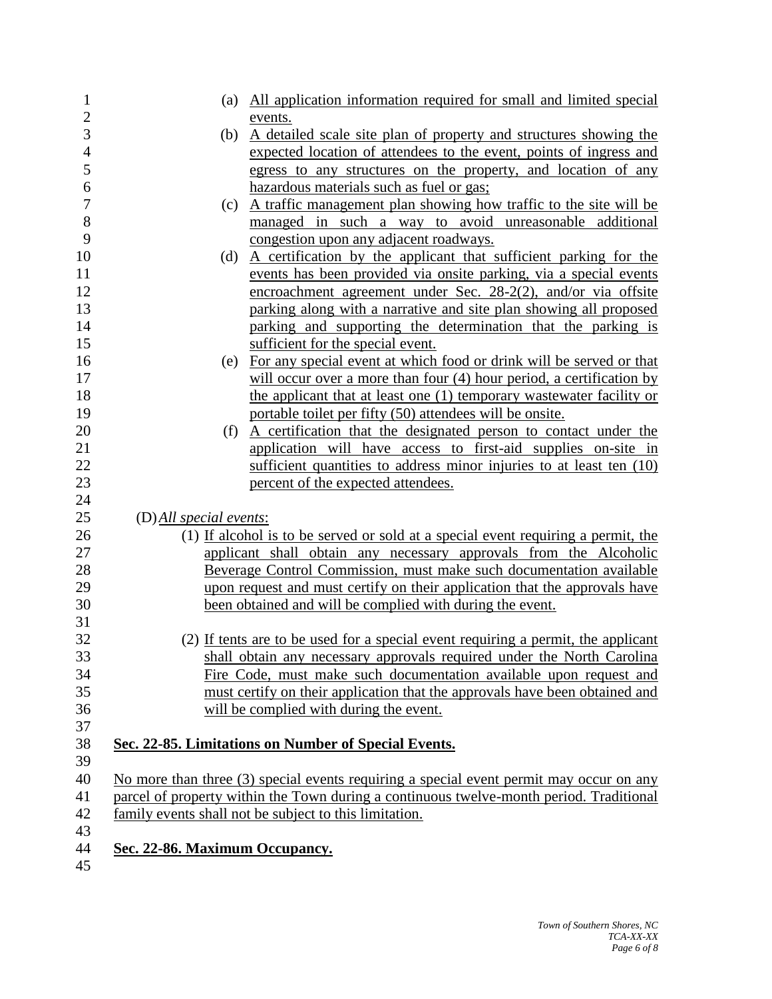| $\mathbf{1}$     |                                                                                         | (a) All application information required for small and limited special                  |  |  |  |
|------------------|-----------------------------------------------------------------------------------------|-----------------------------------------------------------------------------------------|--|--|--|
| $\overline{2}$   |                                                                                         | events.                                                                                 |  |  |  |
| $\overline{3}$   |                                                                                         | (b) A detailed scale site plan of property and structures showing the                   |  |  |  |
| $\overline{4}$   |                                                                                         | expected location of attendees to the event, points of ingress and                      |  |  |  |
| 5                |                                                                                         | egress to any structures on the property, and location of any                           |  |  |  |
| 6                |                                                                                         | hazardous materials such as fuel or gas;                                                |  |  |  |
| $\boldsymbol{7}$ | (c)                                                                                     | A traffic management plan showing how traffic to the site will be                       |  |  |  |
| 8                |                                                                                         | managed in such a way to avoid unreasonable additional                                  |  |  |  |
| 9                |                                                                                         | congestion upon any adjacent roadways.                                                  |  |  |  |
| 10               | (d)                                                                                     | A certification by the applicant that sufficient parking for the                        |  |  |  |
| 11               |                                                                                         | events has been provided via onsite parking, via a special events                       |  |  |  |
| 12               |                                                                                         | encroachment agreement under Sec. 28-2(2), and/or via offsite                           |  |  |  |
| 13               |                                                                                         | parking along with a narrative and site plan showing all proposed                       |  |  |  |
| 14               |                                                                                         | parking and supporting the determination that the parking is                            |  |  |  |
| 15               |                                                                                         | sufficient for the special event.                                                       |  |  |  |
| 16               | (e)                                                                                     | For any special event at which food or drink will be served or that                     |  |  |  |
| 17               |                                                                                         | will occur over a more than four $(4)$ hour period, a certification by                  |  |  |  |
| 18               |                                                                                         | the applicant that at least one (1) temporary wastewater facility or                    |  |  |  |
| 19               |                                                                                         | portable toilet per fifty (50) attendees will be onsite.                                |  |  |  |
| 20               | (f)                                                                                     | A certification that the designated person to contact under the                         |  |  |  |
| 21               |                                                                                         | application will have access to first-aid supplies on-site in                           |  |  |  |
| 22               |                                                                                         | sufficient quantities to address minor injuries to at least ten (10)                    |  |  |  |
| 23               |                                                                                         | percent of the expected attendees.                                                      |  |  |  |
| 24               |                                                                                         |                                                                                         |  |  |  |
| 25               | (D) All special events:                                                                 |                                                                                         |  |  |  |
| 26               | (1) If alcohol is to be served or sold at a special event requiring a permit, the       |                                                                                         |  |  |  |
| 27               |                                                                                         | applicant shall obtain any necessary approvals from the Alcoholic                       |  |  |  |
| 28               |                                                                                         | Beverage Control Commission, must make such documentation available                     |  |  |  |
| 29               |                                                                                         | upon request and must certify on their application that the approvals have              |  |  |  |
| 30               | been obtained and will be complied with during the event.                               |                                                                                         |  |  |  |
| 31               |                                                                                         |                                                                                         |  |  |  |
| 32               |                                                                                         | (2) If tents are to be used for a special event requiring a permit, the applicant       |  |  |  |
| 33               |                                                                                         | shall obtain any necessary approvals required under the North Carolina                  |  |  |  |
| 34               | Fire Code, must make such documentation available upon request and                      |                                                                                         |  |  |  |
| 35               |                                                                                         | must certify on their application that the approvals have been obtained and             |  |  |  |
| 36               |                                                                                         | will be complied with during the event.                                                 |  |  |  |
| 37               |                                                                                         |                                                                                         |  |  |  |
| 38               |                                                                                         | Sec. 22-85. Limitations on Number of Special Events.                                    |  |  |  |
| 39               |                                                                                         |                                                                                         |  |  |  |
| 40               |                                                                                         | No more than three (3) special events requiring a special event permit may occur on any |  |  |  |
| 41               | parcel of property within the Town during a continuous twelve-month period. Traditional |                                                                                         |  |  |  |
| 42               |                                                                                         | family events shall not be subject to this limitation.                                  |  |  |  |
| 43               |                                                                                         |                                                                                         |  |  |  |
| 44               | Sec. 22-86. Maximum Occupancy.                                                          |                                                                                         |  |  |  |
| 45               |                                                                                         |                                                                                         |  |  |  |
|                  |                                                                                         |                                                                                         |  |  |  |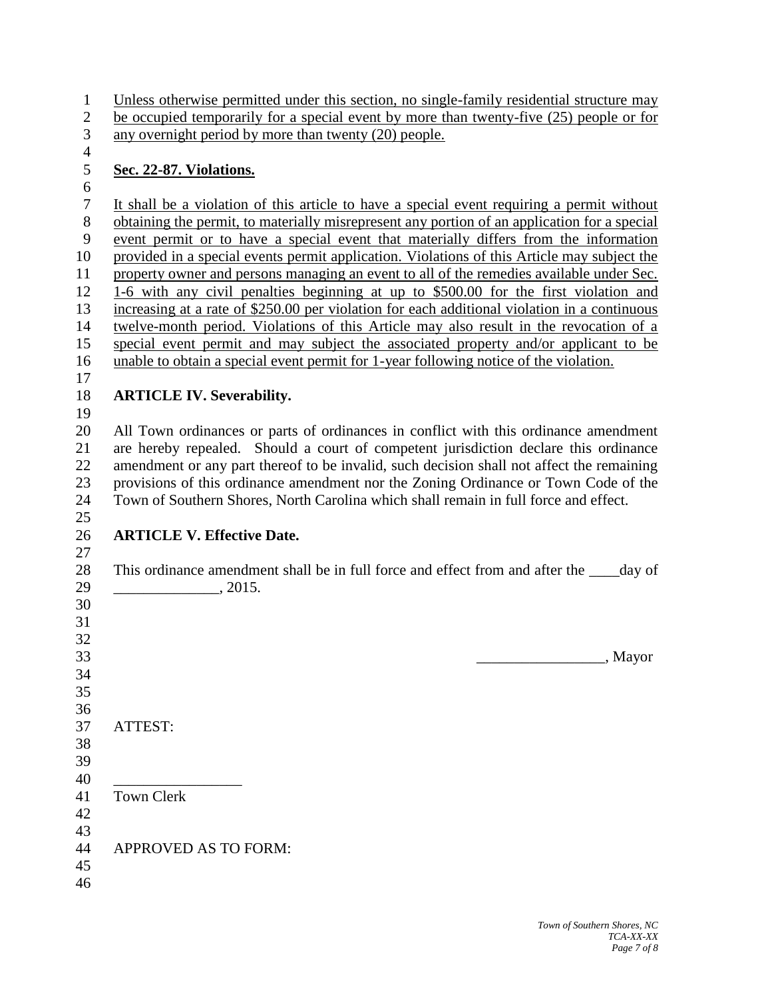Unless otherwise permitted under this section, no single-family residential structure may

- be occupied temporarily for a special event by more than twenty-five (25) people or for any overnight period by more than twenty (20) people.
- 

#### **Sec. 22-87. Violations.**

 It shall be a violation of this article to have a special event requiring a permit without obtaining the permit, to materially misrepresent any portion of an application for a special event permit or to have a special event that materially differs from the information provided in a special events permit application. Violations of this Article may subject the 11 property owner and persons managing an event to all of the remedies available under Sec. 1-6 with any civil penalties beginning at up to \$500.00 for the first violation and increasing at a rate of \$250.00 per violation for each additional violation in a continuous twelve-month period. Violations of this Article may also result in the revocation of a special event permit and may subject the associated property and/or applicant to be unable to obtain a special event permit for 1-year following notice of the violation.

## **ARTICLE IV. Severability.**

 All Town ordinances or parts of ordinances in conflict with this ordinance amendment are hereby repealed. Should a court of competent jurisdiction declare this ordinance amendment or any part thereof to be invalid, such decision shall not affect the remaining provisions of this ordinance amendment nor the Zoning Ordinance or Town Code of the Town of Southern Shores, North Carolina which shall remain in full force and effect.

 

## **ARTICLE V. Effective Date.**

28 This ordinance amendment shall be in full force and effect from and after the day of \_\_\_\_\_\_\_\_\_\_\_\_\_\_, 2015. 

 \_\_\_\_\_\_\_\_\_\_\_\_\_\_\_\_\_, Mayor ATTEST: \_\_\_\_\_\_\_\_\_\_\_\_\_\_\_\_\_ Town Clerk APPROVED AS TO FORM: